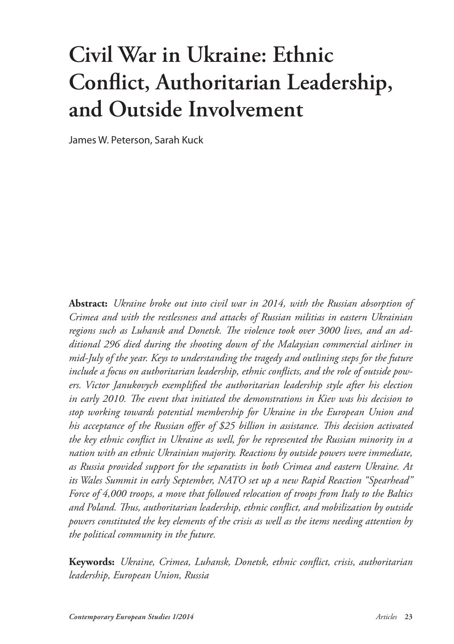# **Civil War in Ukraine: Ethnic Conflict, Authoritarian Leadership, and Outside Involvement**

James W. Peterson, Sarah Kuck

**Abstract:** *Ukraine broke out into civil war in 2014, with the Russian absorption of Crimea and with the restlessness and attacks of Russian militias in eastern Ukrainian regions such as Luhansk and Donetsk. The violence took over 3000 lives, and an additional 296 died during the shooting down of the Malaysian commercial airliner in mid-July of the year. Keys to understanding the tragedy and outlining steps for the future include a focus on authoritarian leadership, ethnic conflicts, and the role of outside powers. Victor Janukovych exemplified the authoritarian leadership style after his election in early 2010. The event that initiated the demonstrations in Kiev was his decision to stop working towards potential membership for Ukraine in the European Union and his acceptance of the Russian offer of \$25 billion in assistance. This decision activated the key ethnic conflict in Ukraine as well, for he represented the Russian minority in a nation with an ethnic Ukrainian majority. Reactions by outside powers were immediate, as Russia provided support for the separatists in both Crimea and eastern Ukraine. At its Wales Summit in early September, NATO set up a new Rapid Reaction "Spearhead" Force of 4,000 troops, a move that followed relocation of troops from Italy to the Baltics and Poland. Thus, authoritarian leadership, ethnic conflict, and mobilization by outside powers constituted the key elements of the crisis as well as the items needing attention by the political community in the future.* 

**Keywords:** *Ukraine, Crimea, Luhansk, Donetsk, ethnic conflict, crisis, authoritarian leadership, European Union, Russia*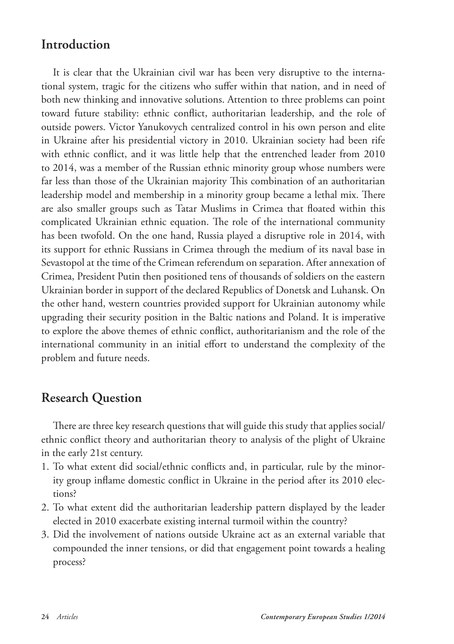## **Introduction**

It is clear that the Ukrainian civil war has been very disruptive to the international system, tragic for the citizens who suffer within that nation, and in need of both new thinking and innovative solutions. Attention to three problems can point toward future stability: ethnic conflict, authoritarian leadership, and the role of outside powers. Victor Yanukovych centralized control in his own person and elite in Ukraine after his presidential victory in 2010. Ukrainian society had been rife with ethnic conflict, and it was little help that the entrenched leader from 2010 to 2014, was a member of the Russian ethnic minority group whose numbers were far less than those of the Ukrainian majority This combination of an authoritarian leadership model and membership in a minority group became a lethal mix. There are also smaller groups such as Tatar Muslims in Crimea that floated within this complicated Ukrainian ethnic equation. The role of the international community has been twofold. On the one hand, Russia played a disruptive role in 2014, with its support for ethnic Russians in Crimea through the medium of its naval base in Sevastopol at the time of the Crimean referendum on separation. After annexation of Crimea, President Putin then positioned tens of thousands of soldiers on the eastern Ukrainian border in support of the declared Republics of Donetsk and Luhansk. On the other hand, western countries provided support for Ukrainian autonomy while upgrading their security position in the Baltic nations and Poland. It is imperative to explore the above themes of ethnic conflict, authoritarianism and the role of the international community in an initial effort to understand the complexity of the problem and future needs.

## **Research Question**

There are three key research questions that will guide this study that applies social/ ethnic conflict theory and authoritarian theory to analysis of the plight of Ukraine in the early 21st century.

- 1. To what extent did social/ethnic conflicts and, in particular, rule by the minority group inflame domestic conflict in Ukraine in the period after its 2010 elections?
- 2. To what extent did the authoritarian leadership pattern displayed by the leader elected in 2010 exacerbate existing internal turmoil within the country?
- 3. Did the involvement of nations outside Ukraine act as an external variable that compounded the inner tensions, or did that engagement point towards a healing process?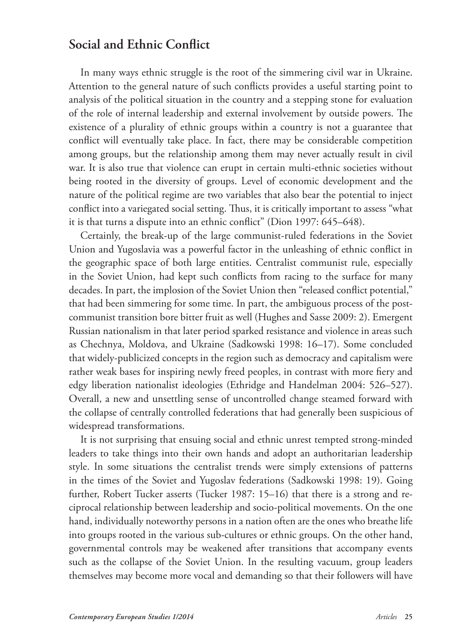# **Social and Ethnic Conflict**

In many ways ethnic struggle is the root of the simmering civil war in Ukraine. Attention to the general nature of such conflicts provides a useful starting point to analysis of the political situation in the country and a stepping stone for evaluation of the role of internal leadership and external involvement by outside powers. The existence of a plurality of ethnic groups within a country is not a guarantee that conflict will eventually take place. In fact, there may be considerable competition among groups, but the relationship among them may never actually result in civil war. It is also true that violence can erupt in certain multi-ethnic societies without being rooted in the diversity of groups. Level of economic development and the nature of the political regime are two variables that also bear the potential to inject conflict into a variegated social setting. Thus, it is critically important to assess "what it is that turns a dispute into an ethnic conflict" (Dion 1997: 645–648).

Certainly, the break-up of the large communist-ruled federations in the Soviet Union and Yugoslavia was a powerful factor in the unleashing of ethnic conflict in the geographic space of both large entities. Centralist communist rule, especially in the Soviet Union, had kept such conflicts from racing to the surface for many decades. In part, the implosion of the Soviet Union then "released conflict potential," that had been simmering for some time. In part, the ambiguous process of the postcommunist transition bore bitter fruit as well (Hughes and Sasse 2009: 2). Emergent Russian nationalism in that later period sparked resistance and violence in areas such as Chechnya, Moldova, and Ukraine (Sadkowski 1998: 16–17). Some concluded that widely-publicized concepts in the region such as democracy and capitalism were rather weak bases for inspiring newly freed peoples, in contrast with more fiery and edgy liberation nationalist ideologies (Ethridge and Handelman 2004: 526–527). Overall, a new and unsettling sense of uncontrolled change steamed forward with the collapse of centrally controlled federations that had generally been suspicious of widespread transformations.

It is not surprising that ensuing social and ethnic unrest tempted strong-minded leaders to take things into their own hands and adopt an authoritarian leadership style. In some situations the centralist trends were simply extensions of patterns in the times of the Soviet and Yugoslav federations (Sadkowski 1998: 19). Going further, Robert Tucker asserts (Tucker 1987: 15–16) that there is a strong and reciprocal relationship between leadership and socio-political movements. On the one hand, individually noteworthy persons in a nation often are the ones who breathe life into groups rooted in the various sub-cultures or ethnic groups. On the other hand, governmental controls may be weakened after transitions that accompany events such as the collapse of the Soviet Union. In the resulting vacuum, group leaders themselves may become more vocal and demanding so that their followers will have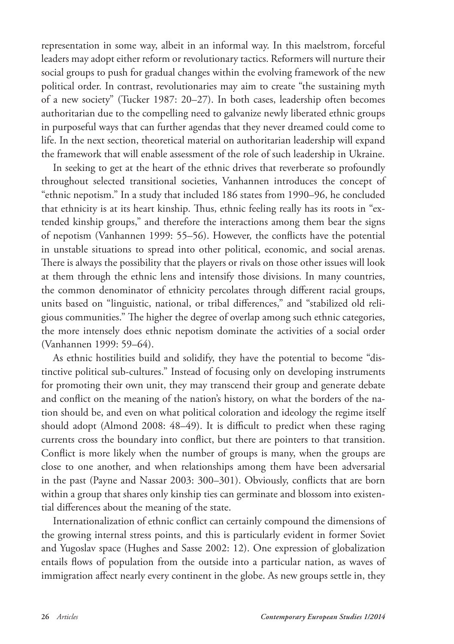representation in some way, albeit in an informal way. In this maelstrom, forceful leaders may adopt either reform or revolutionary tactics. Reformers will nurture their social groups to push for gradual changes within the evolving framework of the new political order. In contrast, revolutionaries may aim to create "the sustaining myth of a new society" (Tucker 1987: 20–27). In both cases, leadership often becomes authoritarian due to the compelling need to galvanize newly liberated ethnic groups in purposeful ways that can further agendas that they never dreamed could come to life. In the next section, theoretical material on authoritarian leadership will expand the framework that will enable assessment of the role of such leadership in Ukraine.

In seeking to get at the heart of the ethnic drives that reverberate so profoundly throughout selected transitional societies, Vanhannen introduces the concept of "ethnic nepotism." In a study that included 186 states from 1990–96, he concluded that ethnicity is at its heart kinship. Thus, ethnic feeling really has its roots in "extended kinship groups," and therefore the interactions among them bear the signs of nepotism (Vanhannen 1999: 55–56). However, the conflicts have the potential in unstable situations to spread into other political, economic, and social arenas. There is always the possibility that the players or rivals on those other issues will look at them through the ethnic lens and intensify those divisions. In many countries, the common denominator of ethnicity percolates through different racial groups, units based on "linguistic, national, or tribal differences," and "stabilized old religious communities." The higher the degree of overlap among such ethnic categories, the more intensely does ethnic nepotism dominate the activities of a social order (Vanhannen 1999: 59–64).

As ethnic hostilities build and solidify, they have the potential to become "distinctive political sub-cultures." Instead of focusing only on developing instruments for promoting their own unit, they may transcend their group and generate debate and conflict on the meaning of the nation's history, on what the borders of the nation should be, and even on what political coloration and ideology the regime itself should adopt (Almond 2008: 48–49). It is difficult to predict when these raging currents cross the boundary into conflict, but there are pointers to that transition. Conflict is more likely when the number of groups is many, when the groups are close to one another, and when relationships among them have been adversarial in the past (Payne and Nassar 2003: 300–301). Obviously, conflicts that are born within a group that shares only kinship ties can germinate and blossom into existential differences about the meaning of the state.

Internationalization of ethnic conflict can certainly compound the dimensions of the growing internal stress points, and this is particularly evident in former Soviet and Yugoslav space (Hughes and Sasse 2002: 12). One expression of globalization entails flows of population from the outside into a particular nation, as waves of immigration affect nearly every continent in the globe. As new groups settle in, they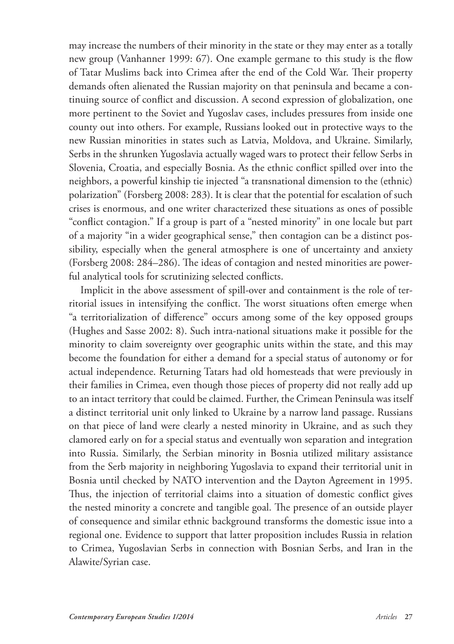may increase the numbers of their minority in the state or they may enter as a totally new group (Vanhanner 1999: 67). One example germane to this study is the flow of Tatar Muslims back into Crimea after the end of the Cold War. Their property demands often alienated the Russian majority on that peninsula and became a continuing source of conflict and discussion. A second expression of globalization, one more pertinent to the Soviet and Yugoslav cases, includes pressures from inside one county out into others. For example, Russians looked out in protective ways to the new Russian minorities in states such as Latvia, Moldova, and Ukraine. Similarly, Serbs in the shrunken Yugoslavia actually waged wars to protect their fellow Serbs in Slovenia, Croatia, and especially Bosnia. As the ethnic conflict spilled over into the neighbors, a powerful kinship tie injected "a transnational dimension to the (ethnic) polarization" (Forsberg 2008: 283). It is clear that the potential for escalation of such crises is enormous, and one writer characterized these situations as ones of possible "conflict contagion." If a group is part of a "nested minority" in one locale but part of a majority "in a wider geographical sense," then contagion can be a distinct possibility, especially when the general atmosphere is one of uncertainty and anxiety (Forsberg 2008: 284–286). The ideas of contagion and nested minorities are powerful analytical tools for scrutinizing selected conflicts.

Implicit in the above assessment of spill-over and containment is the role of territorial issues in intensifying the conflict. The worst situations often emerge when "a territorialization of difference" occurs among some of the key opposed groups (Hughes and Sasse 2002: 8). Such intra-national situations make it possible for the minority to claim sovereignty over geographic units within the state, and this may become the foundation for either a demand for a special status of autonomy or for actual independence. Returning Tatars had old homesteads that were previously in their families in Crimea, even though those pieces of property did not really add up to an intact territory that could be claimed. Further, the Crimean Peninsula was itself a distinct territorial unit only linked to Ukraine by a narrow land passage. Russians on that piece of land were clearly a nested minority in Ukraine, and as such they clamored early on for a special status and eventually won separation and integration into Russia. Similarly, the Serbian minority in Bosnia utilized military assistance from the Serb majority in neighboring Yugoslavia to expand their territorial unit in Bosnia until checked by NATO intervention and the Dayton Agreement in 1995. Thus, the injection of territorial claims into a situation of domestic conflict gives the nested minority a concrete and tangible goal. The presence of an outside player of consequence and similar ethnic background transforms the domestic issue into a regional one. Evidence to support that latter proposition includes Russia in relation to Crimea, Yugoslavian Serbs in connection with Bosnian Serbs, and Iran in the Alawite/Syrian case.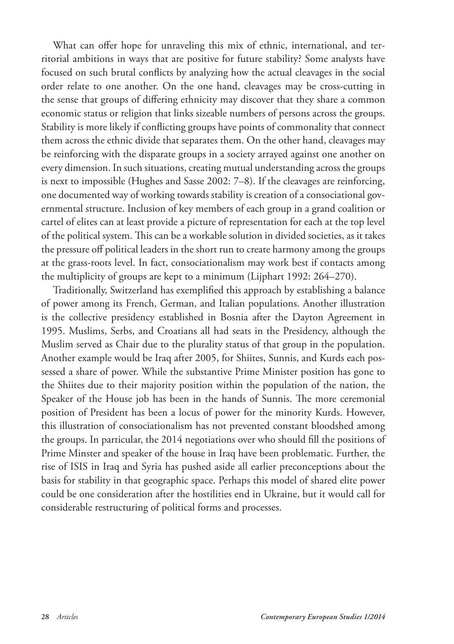What can offer hope for unraveling this mix of ethnic, international, and territorial ambitions in ways that are positive for future stability? Some analysts have focused on such brutal conflicts by analyzing how the actual cleavages in the social order relate to one another. On the one hand, cleavages may be cross-cutting in the sense that groups of differing ethnicity may discover that they share a common economic status or religion that links sizeable numbers of persons across the groups. Stability is more likely if conflicting groups have points of commonality that connect them across the ethnic divide that separates them. On the other hand, cleavages may be reinforcing with the disparate groups in a society arrayed against one another on every dimension. In such situations, creating mutual understanding across the groups is next to impossible (Hughes and Sasse 2002: 7–8). If the cleavages are reinforcing, one documented way of working towards stability is creation of a consociational governmental structure. Inclusion of key members of each group in a grand coalition or cartel of elites can at least provide a picture of representation for each at the top level of the political system. This can be a workable solution in divided societies, as it takes the pressure off political leaders in the short run to create harmony among the groups at the grass-roots level. In fact, consociationalism may work best if contacts among the multiplicity of groups are kept to a minimum (Lijphart 1992: 264–270).

Traditionally, Switzerland has exemplified this approach by establishing a balance of power among its French, German, and Italian populations. Another illustration is the collective presidency established in Bosnia after the Dayton Agreement in 1995. Muslims, Serbs, and Croatians all had seats in the Presidency, although the Muslim served as Chair due to the plurality status of that group in the population. Another example would be Iraq after 2005, for Shiites, Sunnis, and Kurds each possessed a share of power. While the substantive Prime Minister position has gone to the Shiites due to their majority position within the population of the nation, the Speaker of the House job has been in the hands of Sunnis. The more ceremonial position of President has been a locus of power for the minority Kurds. However, this illustration of consociationalism has not prevented constant bloodshed among the groups. In particular, the 2014 negotiations over who should fill the positions of Prime Minster and speaker of the house in Iraq have been problematic. Further, the rise of ISIS in Iraq and Syria has pushed aside all earlier preconceptions about the basis for stability in that geographic space. Perhaps this model of shared elite power could be one consideration after the hostilities end in Ukraine, but it would call for considerable restructuring of political forms and processes.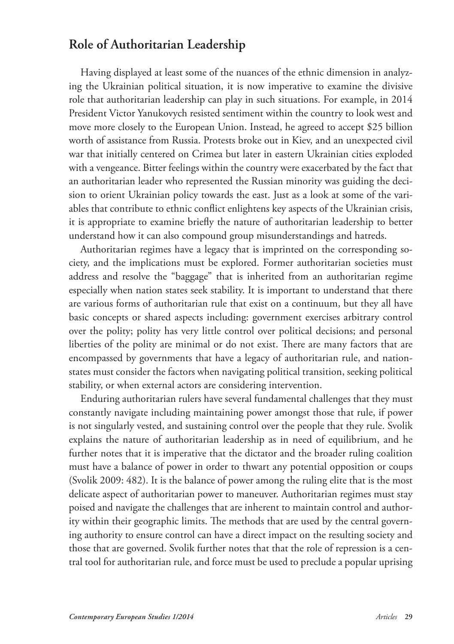# **Role of Authoritarian Leadership**

Having displayed at least some of the nuances of the ethnic dimension in analyzing the Ukrainian political situation, it is now imperative to examine the divisive role that authoritarian leadership can play in such situations. For example, in 2014 President Victor Yanukovych resisted sentiment within the country to look west and move more closely to the European Union. Instead, he agreed to accept \$25 billion worth of assistance from Russia. Protests broke out in Kiev, and an unexpected civil war that initially centered on Crimea but later in eastern Ukrainian cities exploded with a vengeance. Bitter feelings within the country were exacerbated by the fact that an authoritarian leader who represented the Russian minority was guiding the decision to orient Ukrainian policy towards the east. Just as a look at some of the variables that contribute to ethnic conflict enlightens key aspects of the Ukrainian crisis, it is appropriate to examine briefly the nature of authoritarian leadership to better understand how it can also compound group misunderstandings and hatreds.

Authoritarian regimes have a legacy that is imprinted on the corresponding society, and the implications must be explored. Former authoritarian societies must address and resolve the "baggage" that is inherited from an authoritarian regime especially when nation states seek stability. It is important to understand that there are various forms of authoritarian rule that exist on a continuum, but they all have basic concepts or shared aspects including: government exercises arbitrary control over the polity; polity has very little control over political decisions; and personal liberties of the polity are minimal or do not exist. There are many factors that are encompassed by governments that have a legacy of authoritarian rule, and nationstates must consider the factors when navigating political transition, seeking political stability, or when external actors are considering intervention.

Enduring authoritarian rulers have several fundamental challenges that they must constantly navigate including maintaining power amongst those that rule, if power is not singularly vested, and sustaining control over the people that they rule. Svolik explains the nature of authoritarian leadership as in need of equilibrium, and he further notes that it is imperative that the dictator and the broader ruling coalition must have a balance of power in order to thwart any potential opposition or coups (Svolik 2009: 482). It is the balance of power among the ruling elite that is the most delicate aspect of authoritarian power to maneuver. Authoritarian regimes must stay poised and navigate the challenges that are inherent to maintain control and authority within their geographic limits. The methods that are used by the central governing authority to ensure control can have a direct impact on the resulting society and those that are governed. Svolik further notes that that the role of repression is a central tool for authoritarian rule, and force must be used to preclude a popular uprising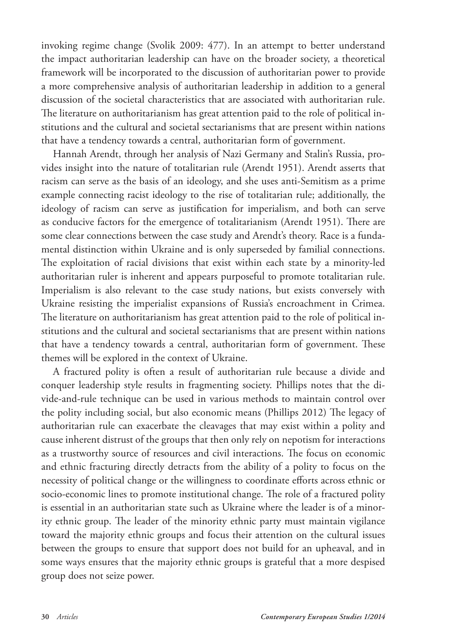invoking regime change (Svolik 2009: 477). In an attempt to better understand the impact authoritarian leadership can have on the broader society, a theoretical framework will be incorporated to the discussion of authoritarian power to provide a more comprehensive analysis of authoritarian leadership in addition to a general discussion of the societal characteristics that are associated with authoritarian rule. The literature on authoritarianism has great attention paid to the role of political institutions and the cultural and societal sectarianisms that are present within nations that have a tendency towards a central, authoritarian form of government.

Hannah Arendt, through her analysis of Nazi Germany and Stalin's Russia, provides insight into the nature of totalitarian rule (Arendt 1951). Arendt asserts that racism can serve as the basis of an ideology, and she uses anti-Semitism as a prime example connecting racist ideology to the rise of totalitarian rule; additionally, the ideology of racism can serve as justification for imperialism, and both can serve as conducive factors for the emergence of totalitarianism (Arendt 1951). There are some clear connections between the case study and Arendt's theory. Race is a fundamental distinction within Ukraine and is only superseded by familial connections. The exploitation of racial divisions that exist within each state by a minority-led authoritarian ruler is inherent and appears purposeful to promote totalitarian rule. Imperialism is also relevant to the case study nations, but exists conversely with Ukraine resisting the imperialist expansions of Russia's encroachment in Crimea. The literature on authoritarianism has great attention paid to the role of political institutions and the cultural and societal sectarianisms that are present within nations that have a tendency towards a central, authoritarian form of government. These themes will be explored in the context of Ukraine.

A fractured polity is often a result of authoritarian rule because a divide and conquer leadership style results in fragmenting society. Phillips notes that the divide-and-rule technique can be used in various methods to maintain control over the polity including social, but also economic means (Phillips 2012) The legacy of authoritarian rule can exacerbate the cleavages that may exist within a polity and cause inherent distrust of the groups that then only rely on nepotism for interactions as a trustworthy source of resources and civil interactions. The focus on economic and ethnic fracturing directly detracts from the ability of a polity to focus on the necessity of political change or the willingness to coordinate efforts across ethnic or socio-economic lines to promote institutional change. The role of a fractured polity is essential in an authoritarian state such as Ukraine where the leader is of a minority ethnic group. The leader of the minority ethnic party must maintain vigilance toward the majority ethnic groups and focus their attention on the cultural issues between the groups to ensure that support does not build for an upheaval, and in some ways ensures that the majority ethnic groups is grateful that a more despised group does not seize power.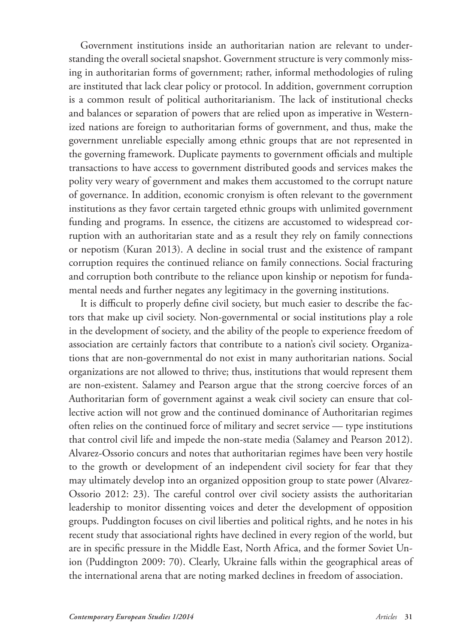Government institutions inside an authoritarian nation are relevant to understanding the overall societal snapshot. Government structure is very commonly missing in authoritarian forms of government; rather, informal methodologies of ruling are instituted that lack clear policy or protocol. In addition, government corruption is a common result of political authoritarianism. The lack of institutional checks and balances or separation of powers that are relied upon as imperative in Westernized nations are foreign to authoritarian forms of government, and thus, make the government unreliable especially among ethnic groups that are not represented in the governing framework. Duplicate payments to government officials and multiple transactions to have access to government distributed goods and services makes the polity very weary of government and makes them accustomed to the corrupt nature of governance. In addition, economic cronyism is often relevant to the government institutions as they favor certain targeted ethnic groups with unlimited government funding and programs. In essence, the citizens are accustomed to widespread corruption with an authoritarian state and as a result they rely on family connections or nepotism (Kuran 2013). A decline in social trust and the existence of rampant corruption requires the continued reliance on family connections. Social fracturing and corruption both contribute to the reliance upon kinship or nepotism for fundamental needs and further negates any legitimacy in the governing institutions.

It is difficult to properly define civil society, but much easier to describe the factors that make up civil society. Non-governmental or social institutions play a role in the development of society, and the ability of the people to experience freedom of association are certainly factors that contribute to a nation's civil society. Organizations that are non-governmental do not exist in many authoritarian nations. Social organizations are not allowed to thrive; thus, institutions that would represent them are non-existent. Salamey and Pearson argue that the strong coercive forces of an Authoritarian form of government against a weak civil society can ensure that collective action will not grow and the continued dominance of Authoritarian regimes often relies on the continued force of military and secret service — type institutions that control civil life and impede the non-state media (Salamey and Pearson 2012). Alvarez-Ossorio concurs and notes that authoritarian regimes have been very hostile to the growth or development of an independent civil society for fear that they may ultimately develop into an organized opposition group to state power (Alvarez-Ossorio 2012: 23). The careful control over civil society assists the authoritarian leadership to monitor dissenting voices and deter the development of opposition groups. Puddington focuses on civil liberties and political rights, and he notes in his recent study that associational rights have declined in every region of the world, but are in specific pressure in the Middle East, North Africa, and the former Soviet Union (Puddington 2009: 70). Clearly, Ukraine falls within the geographical areas of the international arena that are noting marked declines in freedom of association.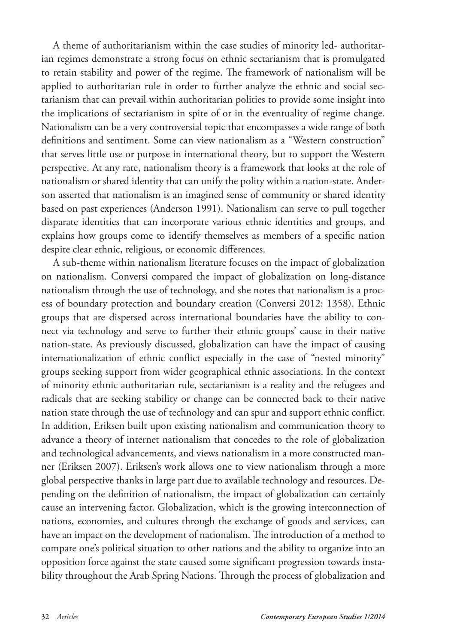A theme of authoritarianism within the case studies of minority led- authoritarian regimes demonstrate a strong focus on ethnic sectarianism that is promulgated to retain stability and power of the regime. The framework of nationalism will be applied to authoritarian rule in order to further analyze the ethnic and social sectarianism that can prevail within authoritarian polities to provide some insight into the implications of sectarianism in spite of or in the eventuality of regime change. Nationalism can be a very controversial topic that encompasses a wide range of both definitions and sentiment. Some can view nationalism as a "Western construction" that serves little use or purpose in international theory, but to support the Western perspective. At any rate, nationalism theory is a framework that looks at the role of nationalism or shared identity that can unify the polity within a nation-state. Anderson asserted that nationalism is an imagined sense of community or shared identity based on past experiences (Anderson 1991). Nationalism can serve to pull together disparate identities that can incorporate various ethnic identities and groups, and explains how groups come to identify themselves as members of a specific nation despite clear ethnic, religious, or economic differences.

A sub-theme within nationalism literature focuses on the impact of globalization on nationalism. Conversi compared the impact of globalization on long-distance nationalism through the use of technology, and she notes that nationalism is a process of boundary protection and boundary creation (Conversi 2012: 1358). Ethnic groups that are dispersed across international boundaries have the ability to connect via technology and serve to further their ethnic groups' cause in their native nation-state. As previously discussed, globalization can have the impact of causing internationalization of ethnic conflict especially in the case of "nested minority" groups seeking support from wider geographical ethnic associations. In the context of minority ethnic authoritarian rule, sectarianism is a reality and the refugees and radicals that are seeking stability or change can be connected back to their native nation state through the use of technology and can spur and support ethnic conflict. In addition, Eriksen built upon existing nationalism and communication theory to advance a theory of internet nationalism that concedes to the role of globalization and technological advancements, and views nationalism in a more constructed manner (Eriksen 2007). Eriksen's work allows one to view nationalism through a more global perspective thanks in large part due to available technology and resources. Depending on the definition of nationalism, the impact of globalization can certainly cause an intervening factor. Globalization, which is the growing interconnection of nations, economies, and cultures through the exchange of goods and services, can have an impact on the development of nationalism. The introduction of a method to compare one's political situation to other nations and the ability to organize into an opposition force against the state caused some significant progression towards instability throughout the Arab Spring Nations. Through the process of globalization and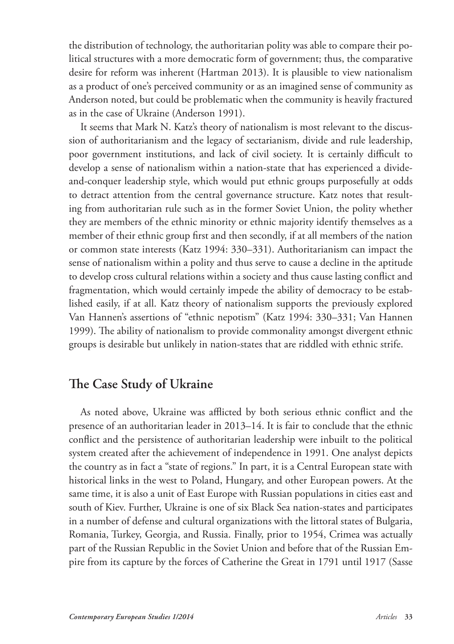the distribution of technology, the authoritarian polity was able to compare their political structures with a more democratic form of government; thus, the comparative desire for reform was inherent (Hartman 2013). It is plausible to view nationalism as a product of one's perceived community or as an imagined sense of community as Anderson noted, but could be problematic when the community is heavily fractured as in the case of Ukraine (Anderson 1991).

It seems that Mark N. Katz's theory of nationalism is most relevant to the discussion of authoritarianism and the legacy of sectarianism, divide and rule leadership, poor government institutions, and lack of civil society. It is certainly difficult to develop a sense of nationalism within a nation-state that has experienced a divideand-conquer leadership style, which would put ethnic groups purposefully at odds to detract attention from the central governance structure. Katz notes that resulting from authoritarian rule such as in the former Soviet Union, the polity whether they are members of the ethnic minority or ethnic majority identify themselves as a member of their ethnic group first and then secondly, if at all members of the nation or common state interests (Katz 1994: 330–331). Authoritarianism can impact the sense of nationalism within a polity and thus serve to cause a decline in the aptitude to develop cross cultural relations within a society and thus cause lasting conflict and fragmentation, which would certainly impede the ability of democracy to be established easily, if at all. Katz theory of nationalism supports the previously explored Van Hannen's assertions of "ethnic nepotism" (Katz 1994: 330–331; Van Hannen 1999). The ability of nationalism to provide commonality amongst divergent ethnic groups is desirable but unlikely in nation-states that are riddled with ethnic strife.

### **The Case Study of Ukraine**

As noted above, Ukraine was afflicted by both serious ethnic conflict and the presence of an authoritarian leader in 2013–14. It is fair to conclude that the ethnic conflict and the persistence of authoritarian leadership were inbuilt to the political system created after the achievement of independence in 1991. One analyst depicts the country as in fact a "state of regions." In part, it is a Central European state with historical links in the west to Poland, Hungary, and other European powers. At the same time, it is also a unit of East Europe with Russian populations in cities east and south of Kiev. Further, Ukraine is one of six Black Sea nation-states and participates in a number of defense and cultural organizations with the littoral states of Bulgaria, Romania, Turkey, Georgia, and Russia. Finally, prior to 1954, Crimea was actually part of the Russian Republic in the Soviet Union and before that of the Russian Empire from its capture by the forces of Catherine the Great in 1791 until 1917 (Sasse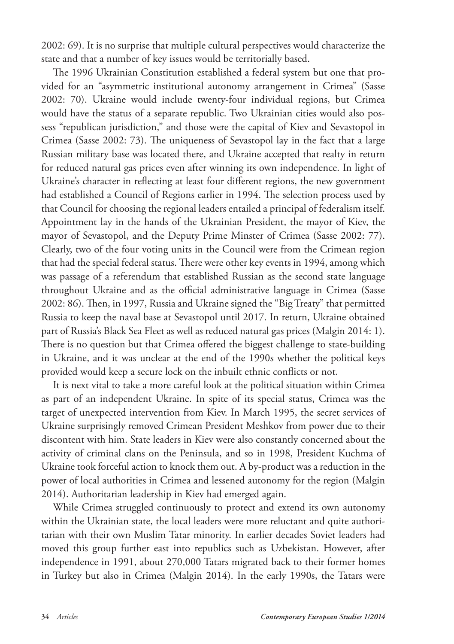2002: 69). It is no surprise that multiple cultural perspectives would characterize the state and that a number of key issues would be territorially based.

The 1996 Ukrainian Constitution established a federal system but one that provided for an "asymmetric institutional autonomy arrangement in Crimea" (Sasse 2002: 70). Ukraine would include twenty-four individual regions, but Crimea would have the status of a separate republic. Two Ukrainian cities would also possess "republican jurisdiction," and those were the capital of Kiev and Sevastopol in Crimea (Sasse 2002: 73). The uniqueness of Sevastopol lay in the fact that a large Russian military base was located there, and Ukraine accepted that realty in return for reduced natural gas prices even after winning its own independence. In light of Ukraine's character in reflecting at least four different regions, the new government had established a Council of Regions earlier in 1994. The selection process used by that Council for choosing the regional leaders entailed a principal of federalism itself. Appointment lay in the hands of the Ukrainian President, the mayor of Kiev, the mayor of Sevastopol, and the Deputy Prime Minster of Crimea (Sasse 2002: 77). Clearly, two of the four voting units in the Council were from the Crimean region that had the special federal status. There were other key events in 1994, among which was passage of a referendum that established Russian as the second state language throughout Ukraine and as the official administrative language in Crimea (Sasse 2002: 86). Then, in 1997, Russia and Ukraine signed the "Big Treaty" that permitted Russia to keep the naval base at Sevastopol until 2017. In return, Ukraine obtained part of Russia's Black Sea Fleet as well as reduced natural gas prices (Malgin 2014: 1). There is no question but that Crimea offered the biggest challenge to state-building in Ukraine, and it was unclear at the end of the 1990s whether the political keys provided would keep a secure lock on the inbuilt ethnic conflicts or not.

It is next vital to take a more careful look at the political situation within Crimea as part of an independent Ukraine. In spite of its special status, Crimea was the target of unexpected intervention from Kiev. In March 1995, the secret services of Ukraine surprisingly removed Crimean President Meshkov from power due to their discontent with him. State leaders in Kiev were also constantly concerned about the activity of criminal clans on the Peninsula, and so in 1998, President Kuchma of Ukraine took forceful action to knock them out. A by-product was a reduction in the power of local authorities in Crimea and lessened autonomy for the region (Malgin 2014). Authoritarian leadership in Kiev had emerged again.

While Crimea struggled continuously to protect and extend its own autonomy within the Ukrainian state, the local leaders were more reluctant and quite authoritarian with their own Muslim Tatar minority. In earlier decades Soviet leaders had moved this group further east into republics such as Uzbekistan. However, after independence in 1991, about 270,000 Tatars migrated back to their former homes in Turkey but also in Crimea (Malgin 2014). In the early 1990s, the Tatars were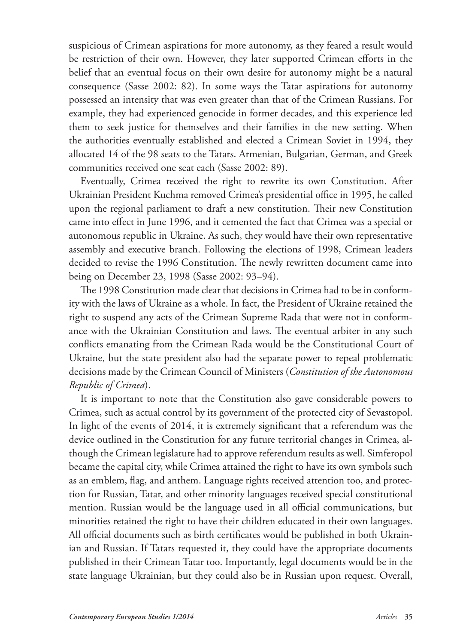suspicious of Crimean aspirations for more autonomy, as they feared a result would be restriction of their own. However, they later supported Crimean efforts in the belief that an eventual focus on their own desire for autonomy might be a natural consequence (Sasse 2002: 82). In some ways the Tatar aspirations for autonomy possessed an intensity that was even greater than that of the Crimean Russians. For example, they had experienced genocide in former decades, and this experience led them to seek justice for themselves and their families in the new setting. When the authorities eventually established and elected a Crimean Soviet in 1994, they allocated 14 of the 98 seats to the Tatars. Armenian, Bulgarian, German, and Greek communities received one seat each (Sasse 2002: 89).

Eventually, Crimea received the right to rewrite its own Constitution. After Ukrainian President Kuchma removed Crimea's presidential office in 1995, he called upon the regional parliament to draft a new constitution. Their new Constitution came into effect in June 1996, and it cemented the fact that Crimea was a special or autonomous republic in Ukraine. As such, they would have their own representative assembly and executive branch. Following the elections of 1998, Crimean leaders decided to revise the 1996 Constitution. The newly rewritten document came into being on December 23, 1998 (Sasse 2002: 93–94).

The 1998 Constitution made clear that decisions in Crimea had to be in conformity with the laws of Ukraine as a whole. In fact, the President of Ukraine retained the right to suspend any acts of the Crimean Supreme Rada that were not in conformance with the Ukrainian Constitution and laws. The eventual arbiter in any such conflicts emanating from the Crimean Rada would be the Constitutional Court of Ukraine, but the state president also had the separate power to repeal problematic decisions made by the Crimean Council of Ministers (*Constitution of the Autonomous Republic of Crimea*).

It is important to note that the Constitution also gave considerable powers to Crimea, such as actual control by its government of the protected city of Sevastopol. In light of the events of 2014, it is extremely significant that a referendum was the device outlined in the Constitution for any future territorial changes in Crimea, although the Crimean legislature had to approve referendum results as well. Simferopol became the capital city, while Crimea attained the right to have its own symbols such as an emblem, flag, and anthem. Language rights received attention too, and protection for Russian, Tatar, and other minority languages received special constitutional mention. Russian would be the language used in all official communications, but minorities retained the right to have their children educated in their own languages. All official documents such as birth certificates would be published in both Ukrainian and Russian. If Tatars requested it, they could have the appropriate documents published in their Crimean Tatar too. Importantly, legal documents would be in the state language Ukrainian, but they could also be in Russian upon request. Overall,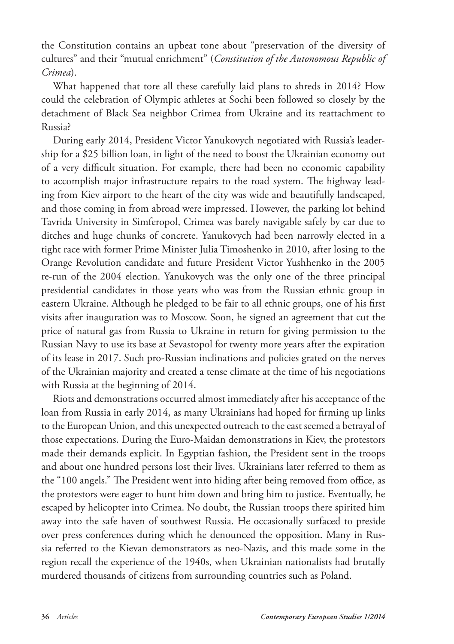the Constitution contains an upbeat tone about "preservation of the diversity of cultures" and their "mutual enrichment" (*Constitution of the Autonomous Republic of Crimea*).

What happened that tore all these carefully laid plans to shreds in 2014? How could the celebration of Olympic athletes at Sochi been followed so closely by the detachment of Black Sea neighbor Crimea from Ukraine and its reattachment to Russia?

During early 2014, President Victor Yanukovych negotiated with Russia's leadership for a \$25 billion loan, in light of the need to boost the Ukrainian economy out of a very difficult situation. For example, there had been no economic capability to accomplish major infrastructure repairs to the road system. The highway leading from Kiev airport to the heart of the city was wide and beautifully landscaped, and those coming in from abroad were impressed. However, the parking lot behind Tavrida University in Simferopol, Crimea was barely navigable safely by car due to ditches and huge chunks of concrete. Yanukovych had been narrowly elected in a tight race with former Prime Minister Julia Timoshenko in 2010, after losing to the Orange Revolution candidate and future President Victor Yushhenko in the 2005 re-run of the 2004 election. Yanukovych was the only one of the three principal presidential candidates in those years who was from the Russian ethnic group in eastern Ukraine. Although he pledged to be fair to all ethnic groups, one of his first visits after inauguration was to Moscow. Soon, he signed an agreement that cut the price of natural gas from Russia to Ukraine in return for giving permission to the Russian Navy to use its base at Sevastopol for twenty more years after the expiration of its lease in 2017. Such pro-Russian inclinations and policies grated on the nerves of the Ukrainian majority and created a tense climate at the time of his negotiations with Russia at the beginning of 2014.

Riots and demonstrations occurred almost immediately after his acceptance of the loan from Russia in early 2014, as many Ukrainians had hoped for firming up links to the European Union, and this unexpected outreach to the east seemed a betrayal of those expectations. During the Euro-Maidan demonstrations in Kiev, the protestors made their demands explicit. In Egyptian fashion, the President sent in the troops and about one hundred persons lost their lives. Ukrainians later referred to them as the "100 angels." The President went into hiding after being removed from office, as the protestors were eager to hunt him down and bring him to justice. Eventually, he escaped by helicopter into Crimea. No doubt, the Russian troops there spirited him away into the safe haven of southwest Russia. He occasionally surfaced to preside over press conferences during which he denounced the opposition. Many in Russia referred to the Kievan demonstrators as neo-Nazis, and this made some in the region recall the experience of the 1940s, when Ukrainian nationalists had brutally murdered thousands of citizens from surrounding countries such as Poland.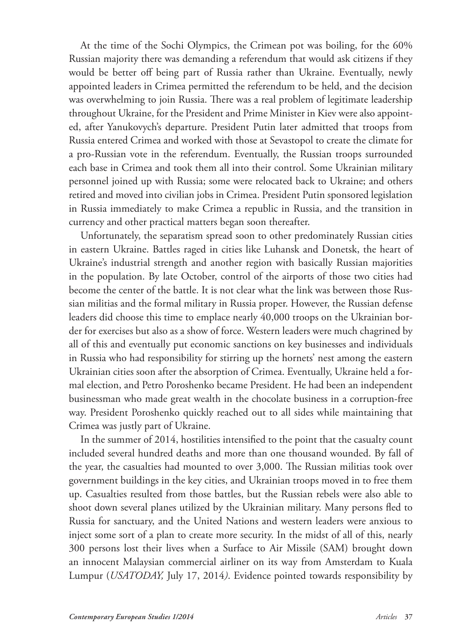At the time of the Sochi Olympics, the Crimean pot was boiling, for the 60% Russian majority there was demanding a referendum that would ask citizens if they would be better off being part of Russia rather than Ukraine. Eventually, newly appointed leaders in Crimea permitted the referendum to be held, and the decision was overwhelming to join Russia. There was a real problem of legitimate leadership throughout Ukraine, for the President and Prime Minister in Kiev were also appointed, after Yanukovych's departure. President Putin later admitted that troops from Russia entered Crimea and worked with those at Sevastopol to create the climate for a pro-Russian vote in the referendum. Eventually, the Russian troops surrounded each base in Crimea and took them all into their control. Some Ukrainian military personnel joined up with Russia; some were relocated back to Ukraine; and others retired and moved into civilian jobs in Crimea. President Putin sponsored legislation in Russia immediately to make Crimea a republic in Russia, and the transition in currency and other practical matters began soon thereafter.

Unfortunately, the separatism spread soon to other predominately Russian cities in eastern Ukraine. Battles raged in cities like Luhansk and Donetsk, the heart of Ukraine's industrial strength and another region with basically Russian majorities in the population. By late October, control of the airports of those two cities had become the center of the battle. It is not clear what the link was between those Russian militias and the formal military in Russia proper. However, the Russian defense leaders did choose this time to emplace nearly 40,000 troops on the Ukrainian border for exercises but also as a show of force. Western leaders were much chagrined by all of this and eventually put economic sanctions on key businesses and individuals in Russia who had responsibility for stirring up the hornets' nest among the eastern Ukrainian cities soon after the absorption of Crimea. Eventually, Ukraine held a formal election, and Petro Poroshenko became President. He had been an independent businessman who made great wealth in the chocolate business in a corruption-free way. President Poroshenko quickly reached out to all sides while maintaining that Crimea was justly part of Ukraine.

In the summer of 2014, hostilities intensified to the point that the casualty count included several hundred deaths and more than one thousand wounded. By fall of the year, the casualties had mounted to over 3,000. The Russian militias took over government buildings in the key cities, and Ukrainian troops moved in to free them up. Casualties resulted from those battles, but the Russian rebels were also able to shoot down several planes utilized by the Ukrainian military. Many persons fled to Russia for sanctuary, and the United Nations and western leaders were anxious to inject some sort of a plan to create more security. In the midst of all of this, nearly 300 persons lost their lives when a Surface to Air Missile (SAM) brought down an innocent Malaysian commercial airliner on its way from Amsterdam to Kuala Lumpur (*USATODAY,* July 17, 2014*)*. Evidence pointed towards responsibility by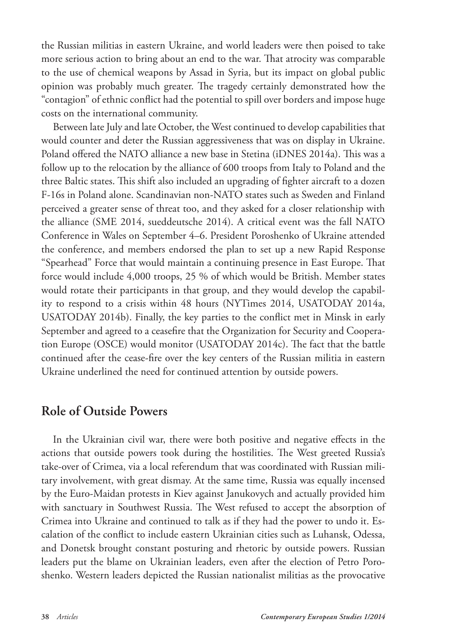the Russian militias in eastern Ukraine, and world leaders were then poised to take more serious action to bring about an end to the war. That atrocity was comparable to the use of chemical weapons by Assad in Syria, but its impact on global public opinion was probably much greater. The tragedy certainly demonstrated how the "contagion" of ethnic conflict had the potential to spill over borders and impose huge costs on the international community.

Between late July and late October, the West continued to develop capabilities that would counter and deter the Russian aggressiveness that was on display in Ukraine. Poland offered the NATO alliance a new base in Stetina (iDNES 2014a). This was a follow up to the relocation by the alliance of 600 troops from Italy to Poland and the three Baltic states. This shift also included an upgrading of fighter aircraft to a dozen F-16s in Poland alone. Scandinavian non-NATO states such as Sweden and Finland perceived a greater sense of threat too, and they asked for a closer relationship with the alliance (SME 2014, sueddeutsche 2014). A critical event was the fall NATO Conference in Wales on September 4–6. President Poroshenko of Ukraine attended the conference, and members endorsed the plan to set up a new Rapid Response "Spearhead" Force that would maintain a continuing presence in East Europe. That force would include 4,000 troops, 25 % of which would be British. Member states would rotate their participants in that group, and they would develop the capability to respond to a crisis within 48 hours (NYTimes 2014, USATODAY 2014a, USATODAY 2014b). Finally, the key parties to the conflict met in Minsk in early September and agreed to a ceasefire that the Organization for Security and Cooperation Europe (OSCE) would monitor (USATODAY 2014c). The fact that the battle continued after the cease-fire over the key centers of the Russian militia in eastern Ukraine underlined the need for continued attention by outside powers.

### **Role of Outside Powers**

In the Ukrainian civil war, there were both positive and negative effects in the actions that outside powers took during the hostilities. The West greeted Russia's take-over of Crimea, via a local referendum that was coordinated with Russian military involvement, with great dismay. At the same time, Russia was equally incensed by the Euro-Maidan protests in Kiev against Janukovych and actually provided him with sanctuary in Southwest Russia. The West refused to accept the absorption of Crimea into Ukraine and continued to talk as if they had the power to undo it. Escalation of the conflict to include eastern Ukrainian cities such as Luhansk, Odessa, and Donetsk brought constant posturing and rhetoric by outside powers. Russian leaders put the blame on Ukrainian leaders, even after the election of Petro Poroshenko. Western leaders depicted the Russian nationalist militias as the provocative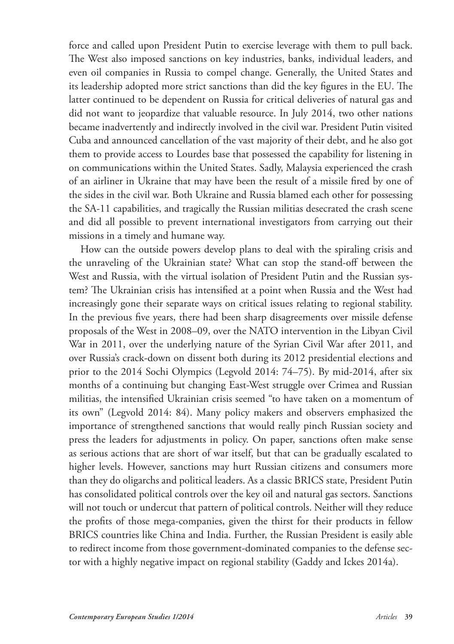force and called upon President Putin to exercise leverage with them to pull back. The West also imposed sanctions on key industries, banks, individual leaders, and even oil companies in Russia to compel change. Generally, the United States and its leadership adopted more strict sanctions than did the key figures in the EU. The latter continued to be dependent on Russia for critical deliveries of natural gas and did not want to jeopardize that valuable resource. In July 2014, two other nations became inadvertently and indirectly involved in the civil war. President Putin visited Cuba and announced cancellation of the vast majority of their debt, and he also got them to provide access to Lourdes base that possessed the capability for listening in on communications within the United States. Sadly, Malaysia experienced the crash of an airliner in Ukraine that may have been the result of a missile fired by one of the sides in the civil war. Both Ukraine and Russia blamed each other for possessing the SA-11 capabilities, and tragically the Russian militias desecrated the crash scene and did all possible to prevent international investigators from carrying out their missions in a timely and humane way.

How can the outside powers develop plans to deal with the spiraling crisis and the unraveling of the Ukrainian state? What can stop the stand-off between the West and Russia, with the virtual isolation of President Putin and the Russian system? The Ukrainian crisis has intensified at a point when Russia and the West had increasingly gone their separate ways on critical issues relating to regional stability. In the previous five years, there had been sharp disagreements over missile defense proposals of the West in 2008–09, over the NATO intervention in the Libyan Civil War in 2011, over the underlying nature of the Syrian Civil War after 2011, and over Russia's crack-down on dissent both during its 2012 presidential elections and prior to the 2014 Sochi Olympics (Legvold 2014: 74–75). By mid-2014, after six months of a continuing but changing East-West struggle over Crimea and Russian militias, the intensified Ukrainian crisis seemed "to have taken on a momentum of its own" (Legvold 2014: 84). Many policy makers and observers emphasized the importance of strengthened sanctions that would really pinch Russian society and press the leaders for adjustments in policy. On paper, sanctions often make sense as serious actions that are short of war itself, but that can be gradually escalated to higher levels. However, sanctions may hurt Russian citizens and consumers more than they do oligarchs and political leaders. As a classic BRICS state, President Putin has consolidated political controls over the key oil and natural gas sectors. Sanctions will not touch or undercut that pattern of political controls. Neither will they reduce the profits of those mega-companies, given the thirst for their products in fellow BRICS countries like China and India. Further, the Russian President is easily able to redirect income from those government-dominated companies to the defense sector with a highly negative impact on regional stability (Gaddy and Ickes 2014a).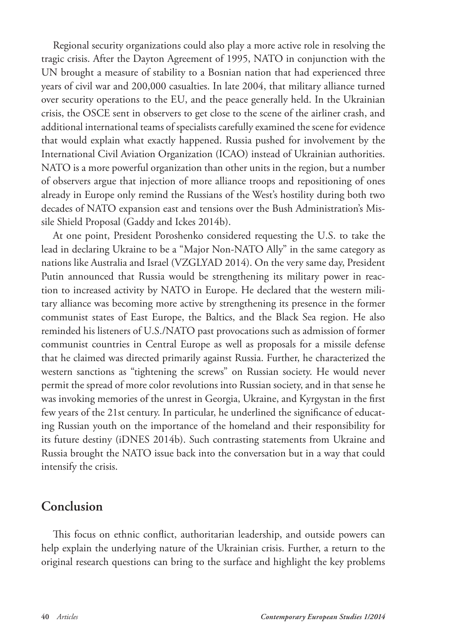Regional security organizations could also play a more active role in resolving the tragic crisis. After the Dayton Agreement of 1995, NATO in conjunction with the UN brought a measure of stability to a Bosnian nation that had experienced three years of civil war and 200,000 casualties. In late 2004, that military alliance turned over security operations to the EU, and the peace generally held. In the Ukrainian crisis, the OSCE sent in observers to get close to the scene of the airliner crash, and additional international teams of specialists carefully examined the scene for evidence that would explain what exactly happened. Russia pushed for involvement by the International Civil Aviation Organization (ICAO) instead of Ukrainian authorities. NATO is a more powerful organization than other units in the region, but a number of observers argue that injection of more alliance troops and repositioning of ones already in Europe only remind the Russians of the West's hostility during both two decades of NATO expansion east and tensions over the Bush Administration's Missile Shield Proposal (Gaddy and Ickes 2014b).

At one point, President Poroshenko considered requesting the U.S. to take the lead in declaring Ukraine to be a "Major Non-NATO Ally" in the same category as nations like Australia and Israel (VZGLYAD 2014). On the very same day, President Putin announced that Russia would be strengthening its military power in reaction to increased activity by NATO in Europe. He declared that the western military alliance was becoming more active by strengthening its presence in the former communist states of East Europe, the Baltics, and the Black Sea region. He also reminded his listeners of U.S./NATO past provocations such as admission of former communist countries in Central Europe as well as proposals for a missile defense that he claimed was directed primarily against Russia. Further, he characterized the western sanctions as "tightening the screws" on Russian society. He would never permit the spread of more color revolutions into Russian society, and in that sense he was invoking memories of the unrest in Georgia, Ukraine, and Kyrgystan in the first few years of the 21st century. In particular, he underlined the significance of educating Russian youth on the importance of the homeland and their responsibility for its future destiny (iDNES 2014b). Such contrasting statements from Ukraine and Russia brought the NATO issue back into the conversation but in a way that could intensify the crisis.

### **Conclusion**

This focus on ethnic conflict, authoritarian leadership, and outside powers can help explain the underlying nature of the Ukrainian crisis. Further, a return to the original research questions can bring to the surface and highlight the key problems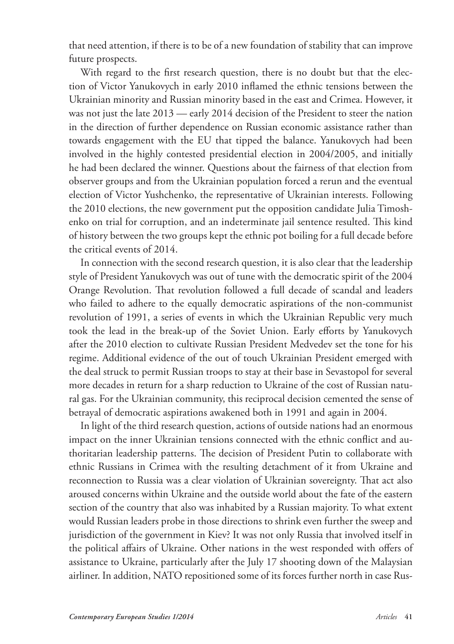that need attention, if there is to be of a new foundation of stability that can improve future prospects.

With regard to the first research question, there is no doubt but that the election of Victor Yanukovych in early 2010 inflamed the ethnic tensions between the Ukrainian minority and Russian minority based in the east and Crimea. However, it was not just the late 2013 — early 2014 decision of the President to steer the nation in the direction of further dependence on Russian economic assistance rather than towards engagement with the EU that tipped the balance. Yanukovych had been involved in the highly contested presidential election in 2004/2005, and initially he had been declared the winner. Questions about the fairness of that election from observer groups and from the Ukrainian population forced a rerun and the eventual election of Victor Yushchenko, the representative of Ukrainian interests. Following the 2010 elections, the new government put the opposition candidate Julia Timoshenko on trial for corruption, and an indeterminate jail sentence resulted. This kind of history between the two groups kept the ethnic pot boiling for a full decade before the critical events of 2014.

In connection with the second research question, it is also clear that the leadership style of President Yanukovych was out of tune with the democratic spirit of the 2004 Orange Revolution. That revolution followed a full decade of scandal and leaders who failed to adhere to the equally democratic aspirations of the non-communist revolution of 1991, a series of events in which the Ukrainian Republic very much took the lead in the break-up of the Soviet Union. Early efforts by Yanukovych after the 2010 election to cultivate Russian President Medvedev set the tone for his regime. Additional evidence of the out of touch Ukrainian President emerged with the deal struck to permit Russian troops to stay at their base in Sevastopol for several more decades in return for a sharp reduction to Ukraine of the cost of Russian natural gas. For the Ukrainian community, this reciprocal decision cemented the sense of betrayal of democratic aspirations awakened both in 1991 and again in 2004.

In light of the third research question, actions of outside nations had an enormous impact on the inner Ukrainian tensions connected with the ethnic conflict and authoritarian leadership patterns. The decision of President Putin to collaborate with ethnic Russians in Crimea with the resulting detachment of it from Ukraine and reconnection to Russia was a clear violation of Ukrainian sovereignty. That act also aroused concerns within Ukraine and the outside world about the fate of the eastern section of the country that also was inhabited by a Russian majority. To what extent would Russian leaders probe in those directions to shrink even further the sweep and jurisdiction of the government in Kiev? It was not only Russia that involved itself in the political affairs of Ukraine. Other nations in the west responded with offers of assistance to Ukraine, particularly after the July 17 shooting down of the Malaysian airliner. In addition, NATO repositioned some of its forces further north in case Rus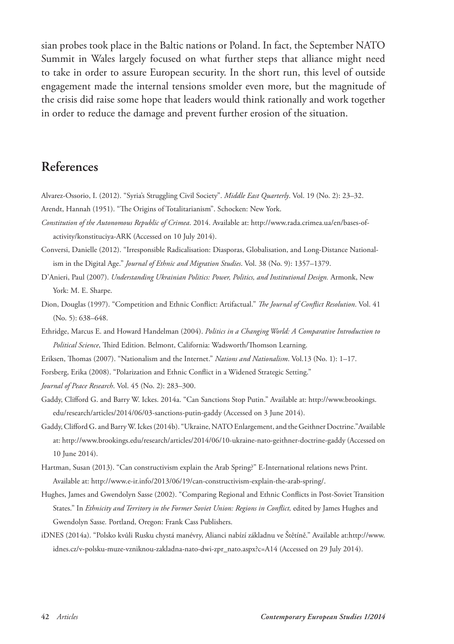sian probes took place in the Baltic nations or Poland. In fact, the September NATO Summit in Wales largely focused on what further steps that alliance might need to take in order to assure European security. In the short run, this level of outside engagement made the internal tensions smolder even more, but the magnitude of the crisis did raise some hope that leaders would think rationally and work together in order to reduce the damage and prevent further erosion of the situation.

## **References**

- Alvarez-Ossorio, I. (2012). "Syria's Struggling Civil Society". *Middle East Quarterly*. Vol. 19 (No. 2): 23–32. Arendt, Hannah (1951). "The Origins of Totalitarianism". Schocken: New York.
- *Constitution of the Autonomous Republic of Crimea*. 2014. Available at: http://www.rada.crimea.ua/en/bases-ofactivity/konstituciya-ARK (Accessed on 10 July 2014).
- Conversi, Danielle (2012). "Irresponsible Radicalisation: Diasporas, Globalisation, and Long-Distance Nationalism in the Digital Age." *Journal of Ethnic and Migration Studies*. Vol. 38 (No. 9): 1357–1379.
- D'Anieri, Paul (2007). *Understanding Ukrainian Politics: Power, Politics, and Institutional Design.* Armonk, New York: M. E. Sharpe.
- Dion, Douglas (1997). "Competition and Ethnic Conflict: Artifactual." *The Journal of Conflict Resolution*. Vol. 41 (No. 5): 638–648.
- Ethridge, Marcus E. and Howard Handelman (2004). *Politics in a Changing World: A Comparative Introduction to Political Science*, Third Edition. Belmont, California: Wadsworth/Thomson Learning.
- Eriksen, Thomas (2007). "Nationalism and the Internet." *Nations and Nationalism*. Vol.13 (No. 1): 1–17.
- Forsberg, Erika (2008). "Polarization and Ethnic Conflict in a Widened Strategic Setting."
- *Journal of Peace Research*. Vol. 45 (No. 2): 283–300.
- Gaddy, Clifford G. and Barry W. Ickes. 2014a. "Can Sanctions Stop Putin." Available at: http://www.brookings. edu/research/articles/2014/06/03-sanctions-putin-gaddy (Accessed on 3 June 2014).
- Gaddy, Clifford G. and Barry W. Ickes (2014b). "Ukraine, NATO Enlargement, and the Geithner Doctrine."Available at: http://www.brookings.edu/research/articles/2014/06/10-ukraine-nato-geithner-doctrine-gaddy (Accessed on 10 June 2014).
- Hartman, Susan (2013). "Can constructivism explain the Arab Spring?" E-International relations news Print. Available at: http://www.e-ir.info/2013/06/19/can-constructivism-explain-the-arab-spring/.
- Hughes, James and Gwendolyn Sasse (2002). "Comparing Regional and Ethnic Conflicts in Post-Soviet Transition States." In *Ethnicity and Territory in the Former Soviet Union: Regions in Conflict*, edited by James Hughes and Gwendolyn Sasse*.* Portland, Oregon: Frank Cass Publishers.
- iDNES (2014a). "Polsko kvůli Rusku chystá manévry, Alianci nabízí základnu ve Štětíně." Available at:http://www. idnes.cz/v-polsku-muze-vzniknou-zakladna-nato-dwi-zpr\_nato.aspx?c=A14 (Accessed on 29 July 2014).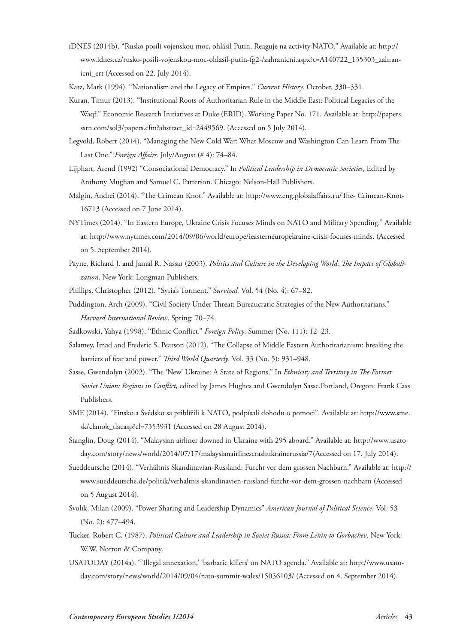- iDNES (2014b). "Rusko posílí vojenskou moc, ohlásil Putin. Reaguje na activity NATO." Available at: http:// www.idnes.cz/rusko-posili-vojenskou-moc-ohlasil-putin-fg2-/zahranicni.aspx?c=A140722\_135303\_zahranicni\_ert (Accessed on 22. July 2014).
- Katz, Mark (1994). "Nationalism and the Legacy of Empires." *Current History*. October, 330–331.
- Kuran, Timur (2013). "Institutional Roots of Authoritarian Rule in the Middle East: Political Legacies of the Waqf." Economic Research Initiatives at Duke (ERID). Working Paper No. 171. Available at: http://papers. ssrn.com/sol3/papers.cfm?abstract\_id=2449569. (Accessed on 5 July 2014).
- Legvold, Robert (2014). "Managing the New Cold War: What Moscow and Washington Can Learn From The Last One." *Foreign Affairs*. July/August (# 4): 74-84.
- Lijphart, Arend (1992) "Consociational Democracy." In *Political Leadership in Democratic Societies*, Edited by Anthony Mughan and Samuel C. Patterson. Chicago: Nelson-Hall Publishers.
- Malgin, Andrei (2014). "The Crimean Knot." Available at: http://www.eng.globalaffairs.ru/The- Crimean-Knot-16713 (Accessed on 7 June 2014).
- NYTimes (2014). "In Eastern Europe, Ukraine Crisis Focuses Minds on NATO and Military Spending." Available at: http://www.nytimes.com/2014/09/06/world/europe/ieasterneuropekraine-crisis-focuses-minds. (Accessed on 5. September 2014).
- Payne, Richard J. and Jamal R. Nassar (2003). *Politics and Culture in the Developing World: The Impact of Globalization*. New York: Longman Publishers.
- Phillips, Christopher (2012). "Syria's Torment." *Survival.* Vol. 54 (No. 4): 67–82.
- Puddington, Arch (2009). "Civil Society Under Threat: Bureaucratic Strategies of the New Authoritarians." *Harvard International Review*. Spring: 70–74.
- Sadkowski, Yahya (1998). "Ethnic Conflict." *Foreign Policy*. Summer (No. 111): 12–23.
- Salamey, Imad and Frederic S. Pearson (2012). "The Collapse of Middle Eastern Authoritarianism: breaking the barriers of fear and power." *Third World Quarterly*. Vol. 33 (No. 5): 931–948.
- Sasse, Gwendolyn (2002). "The 'New' Ukraine: A State of Regions." In *Ethnicity and Territory in The Former Soviet Union: Regions in Conflict,* edited by James Hughes and Gwendolyn Sasse.Portland, Oregon: Frank Cass Publishers.
- SME (2014). "Finsko a Švédsko sa priblížili k NATO, podpísali dohodu o pomoci". Available at: http://www.sme. sk/clanok\_tlacasp?cl=7353931 (Accessed on 28 August 2014).
- Stanglin, Doug (2014). "Malaysian airliner downed in Ukraine with 295 aboard." Available at: http://www.usatoday.com/story/news/world/2014/07/17/malaysianairlinescrashukrainerussia/7(Accessed on 17. July 2014).
- Sueddeutsche (2014). "Verhältnis Skandinavian-Russland: Furcht vor dem grossen Nachbarn." Available at: http:// www.sueddeutsche.de/politik/verhaltnis-skandinavien-russland-furcht-vor-dem-grossen-nachbarn (Accessed on 5 August 2014).
- Svolik, Milan (2009). "Power Sharing and Leadership Dynamics" *American Journal of Political Science*. Vol. 53 (No. 2): 477–494.
- Tucker, Robert C. (1987). *Political Culture and Leadership in Soviet Russia: From Lenin to Gorbachev*. New York: W.W. Norton & Company.
- USATODAY (2014a). "'Illegal annexation,' 'barbaric killers' on NATO agenda." Available at: http://www.usatoday.com/story/news/world/2014/09/04/nato-summit-wales/15056103/ (Accessed on 4. September 2014).